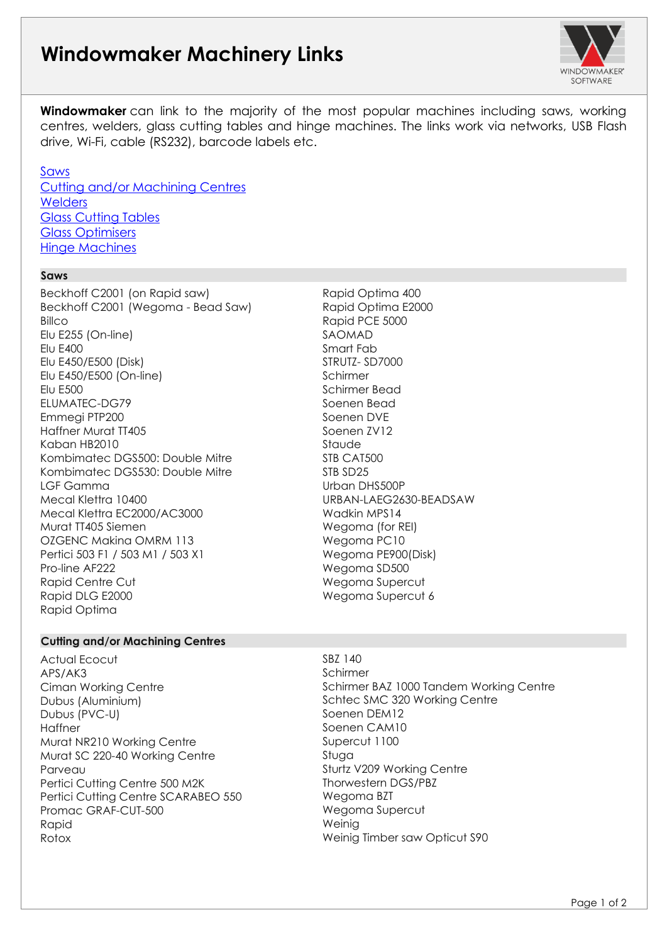# **Windowmaker Machinery Links**



**Windowmaker** can link to the majority of the most popular machines including saws, working centres, welders, glass cutting tables and hinge machines. The links work via networks, USB Flash drive, Wi-Fi, cable (RS232), barcode labels etc.

### [Saws](#page-0-0)

[Cutting and/or Machining Centres](#page-0-1) **[Welders](#page-1-0)** [Glass Cutting Tables](#page-1-1) [Glass Optimisers](#page-1-2) [Hinge Machines](#page-1-3)

### <span id="page-0-0"></span>• **Saws**

▪

Beckhoff C2001 (on Rapid saw) Beckhoff C2001 (Wegoma - Bead Saw) **Billco** Elu E255 (On-line) **Elu E400** Elu E450/E500 (Disk) Elu E450/E500 (On-line) **Flu F500** ELUMATEC-DG79 Emmegi PTP200 Haffner Murat TT405 Kaban HB2010 Kombimatec DGS500: Double Mitre Kombimatec DGS530: Double Mitre LGF Gamma Mecal Klettra 10400 Mecal Klettra EC2000/AC3000 Murat TT405 Siemen OZGENC Makina OMRM 113 Pertici 503 F1 / 503 M1 / 503 X1 Pro-line AF222 **Rapid Centre Cut** Rapid DLG E2000 **Rapid Optima** 

### Rapid Optima 400 Rapid Optima E2000 Rapid PCE 5000 **SAOMAD** Smart Fab STRUTZ-SD7000 **Schirmer** Schirmer Bead Soenen Bead Soenen DVE Soenen 7V12 **Staude** STB CAT500 STB SD<sub>25</sub> Urban DHS500P URBAN-LAEG2630-BEADSAW Wadkin MPS14 Wegoma (for REI) Wegoma PC10 Wegoma PE900(Disk) Wegoma SD500 Wegoma Supercut Wegoma Supercut 6

### <span id="page-0-1"></span>• **Cutting and/or Machining Centres**

**Actual Ecocut** APS/AK3 **Ciman Working Centre** Dubus (Aluminium) Dubus (PVC-U) **Haffner** Murat NR210 Working Centre Murat SC 220-40 Working Centre Parveau Pertici Cutting Centre 500 M2K Pertici Cutting Centre SCARABEO 550 Promac GRAF-CUT-500 **Rapid Rotox** 

## **Schirmer** Schirmer BAZ 1000 Tandem Working Centre Schtec SMC 320 Working Centre Soenen DEM12 Soenen CAM10 Supercut 1100 Stuga

SBZ 140

Sturtz V209 Working Centre Thorwestern DGS/PBZ Wegoma BZT Wegoma Supercut Weinig Weinig Timber saw Opticut S90